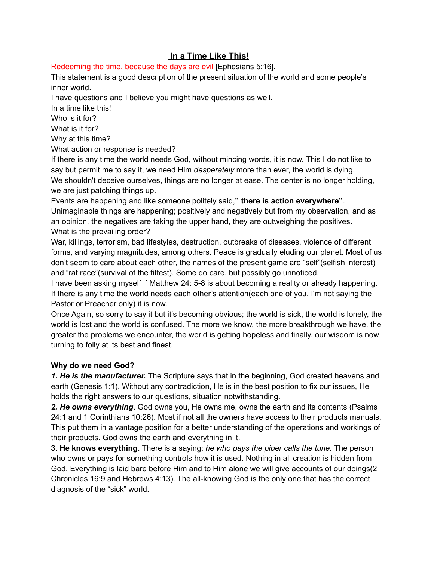## **In a Time Like This!**

Redeeming the time, because the days are evil [Ephesians 5:16].

This statement is a good description of the present situation of the world and some people's inner world.

I have questions and I believe you might have questions as well.

In a time like this!

Who is it for?

What is it for?

Why at this time?

What action or response is needed?

If there is any time the world needs God, without mincing words, it is now. This I do not like to say but permit me to say it, we need Him *desperately* more than ever, the world is dying. We shouldn't deceive ourselves, things are no longer at ease. The center is no longer holding, we are just patching things up.

Events are happening and like someone politely said,**" there is action everywhere"**. Unimaginable things are happening; positively and negatively but from my observation, and as an opinion, the negatives are taking the upper hand, they are outweighing the positives. What is the prevailing order?

War, killings, terrorism, bad lifestyles, destruction, outbreaks of diseases, violence of different forms, and varying magnitudes, among others. Peace is gradually eluding our planet. Most of us don't seem to care about each other, the names of the present game are "self"(selfish interest) and "rat race"(survival of the fittest). Some do care, but possibly go unnoticed.

I have been asking myself if Matthew 24: 5-8 is about becoming a reality or already happening. If there is any time the world needs each other's attention(each one of you, I'm not saying the Pastor or Preacher only) it is now.

Once Again, so sorry to say it but it's becoming obvious; the world is sick, the world is lonely, the world is lost and the world is confused. The more we know, the more breakthrough we have, the greater the problems we encounter, the world is getting hopeless and finally, our wisdom is now turning to folly at its best and finest.

## **Why do we need God?**

*1. He is the manufacturer.* The Scripture says that in the beginning, God created heavens and earth (Genesis 1:1). Without any contradiction, He is in the best position to fix our issues, He holds the right answers to our questions, situation notwithstanding.

*2. He owns everything*. God owns you, He owns me, owns the earth and its contents (Psalms 24:1 and 1 Corinthians 10:26). Most if not all the owners have access to their products manuals. This put them in a vantage position for a better understanding of the operations and workings of their products. God owns the earth and everything in it.

**3. He knows everything.** There is a saying; *he who pays the piper calls the tune.* The person who owns or pays for something controls how it is used. Nothing in all creation is hidden from God. Everything is laid bare before Him and to Him alone we will give accounts of our doings(2 Chronicles 16:9 and Hebrews 4:13). The all-knowing God is the only one that has the correct diagnosis of the "sick" world.